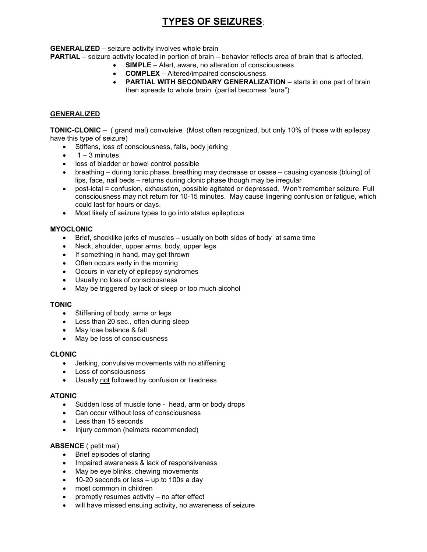# **TYPES OF SEIZURES**:

**GENERALIZED** – seizure activity involves whole brain

**PARTIAL** – seizure activity located in portion of brain – behavior reflects area of brain that is affected.

- **SIMPLE** Alert, aware, no alteration of consciousness
	- **COMPLEX**  Altered/impaired consciousness
	- **PARTIAL WITH SECONDARY GENERALIZATION** starts in one part of brain then spreads to whole brain (partial becomes "aura")

## **GENERALIZED**

**TONIC-CLONIC** – ( grand mal) convulsive (Most often recognized, but only 10% of those with epilepsy have this type of seizure)

- Stiffens, loss of consciousness, falls, body jerking
- $\bullet$  1 3 minutes
- loss of bladder or bowel control possible
- breathing during tonic phase, breathing may decrease or cease causing cyanosis (bluing) of lips, face, nail beds – returns during clonic phase though may be irregular
- post-ictal = confusion, exhaustion, possible agitated or depressed. Won't remember seizure. Full consciousness may not return for 10-15 minutes. May cause lingering confusion or fatigue, which could last for hours or days.
- Most likely of seizure types to go into status epilepticus

## **MYOCLONIC**

- Brief, shocklike jerks of muscles usually on both sides of body at same time
- Neck, shoulder, upper arms, body, upper legs
- If something in hand, may get thrown
- Often occurs early in the morning
- Occurs in variety of epilepsy syndromes
- Usually no loss of consciousness
- May be triggered by lack of sleep or too much alcohol

#### **TONIC**

- Stiffening of body, arms or legs
- Less than 20 sec., often during sleep
- May lose balance & fall
- May be loss of consciousness

#### **CLONIC**

- Jerking, convulsive movements with no stiffening
- Loss of consciousness
- Usually not followed by confusion or tiredness

#### **ATONIC**

- Sudden loss of muscle tone head, arm or body drops
- Can occur without loss of consciousness
- Less than 15 seconds
- Injury common (helmets recommended)

## **ABSENCE** ( petit mal)

- Brief episodes of staring
- Impaired awareness & lack of responsiveness
- May be eye blinks, chewing movements
- 10-20 seconds or less up to 100s a day
- most common in children
- promptly resumes activity  $-$  no after effect
- will have missed ensuing activity, no awareness of seizure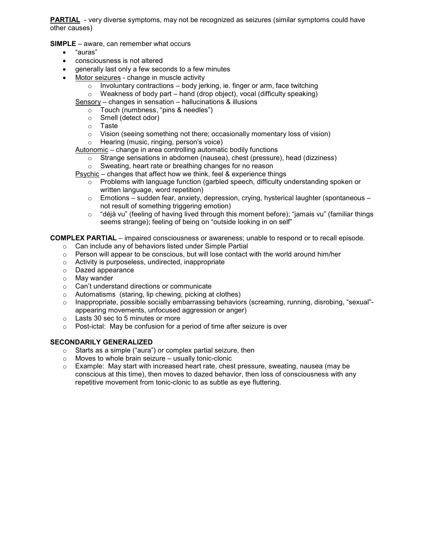**PARTIAL** - very diverse symptoms, may not be recognized as seizures (similar symptoms could have other causes)

**SIMPLE** – aware, can remember what occurs

- "auras"
- consciousness is not altered
- generally last only a few seconds to a few minutes
- Motor seizures change in muscle activity
	- $\circ$  Involuntary contractions body jerking, ie. finger or arm, face twitching
	- $\circ$  Weakness of body part hand (drop object), vocal (difficulty speaking)

Sensory – changes in sensation – hallucinations & illusions

- o Touch (numbness, "pins & needles")
- o Smell (detect odor)
- o Taste
- o Vision (seeing something not there; occasionally momentary loss of vision)
- o Hearing (music, ringing, person's voice)

Autonomic – change in area controlling automatic bodily functions

- o Strange sensations in abdomen (nausea), chest (pressure), head (dizziness)
- o Sweating, heart rate or breathing changes for no reason

Psychic – changes that affect how we think, feel & experience things

- o Problems with language function (garbled speech, difficulty understanding spoken or written language, word repetition)
- $\circ$  Emotions sudden fear, anxiety, depression, crying, hysterical laughter (spontaneous not result of something triggering emotion)
- o "déjà vu" (feeling of having lived through this moment before); "jamais vu" (familiar things seems strange); feeling of being on "outside looking in on self"

**COMPLEX PARTIAL** – impaired consciousness or awareness; unable to respond or to recall episode.

- o Can include any of behaviors listed under Simple Partial
- $\circ$  Person will appear to be conscious, but will lose contact with the world around him/her
- o Activity is purposeless, undirected, inappropriate
- o Dazed appearance
- o May wander
- o Can't understand directions or communicate
- o Automatisms (staring, lip chewing, picking at clothes)
- o Inappropriate, possible socially embarrassing behaviors (screaming, running, disrobing, "sexual" appearing movements, unfocused aggression or anger)
- o Lasts 30 sec to 5 minutes or more
- o Post-ictal: May be confusion for a period of time after seizure is over

## **SECONDARILY GENERALIZED**

- o Starts as a simple ("aura") or complex partial seizure, then
- $\circ$  Moves to whole brain seizure usually tonic-clonic
- $\circ$  Example: May start with increased heart rate, chest pressure, sweating, nausea (may be conscious at this time), then moves to dazed behavior, then loss of consciousness with any repetitive movement from tonic-clonic to as subtle as eye fluttering.